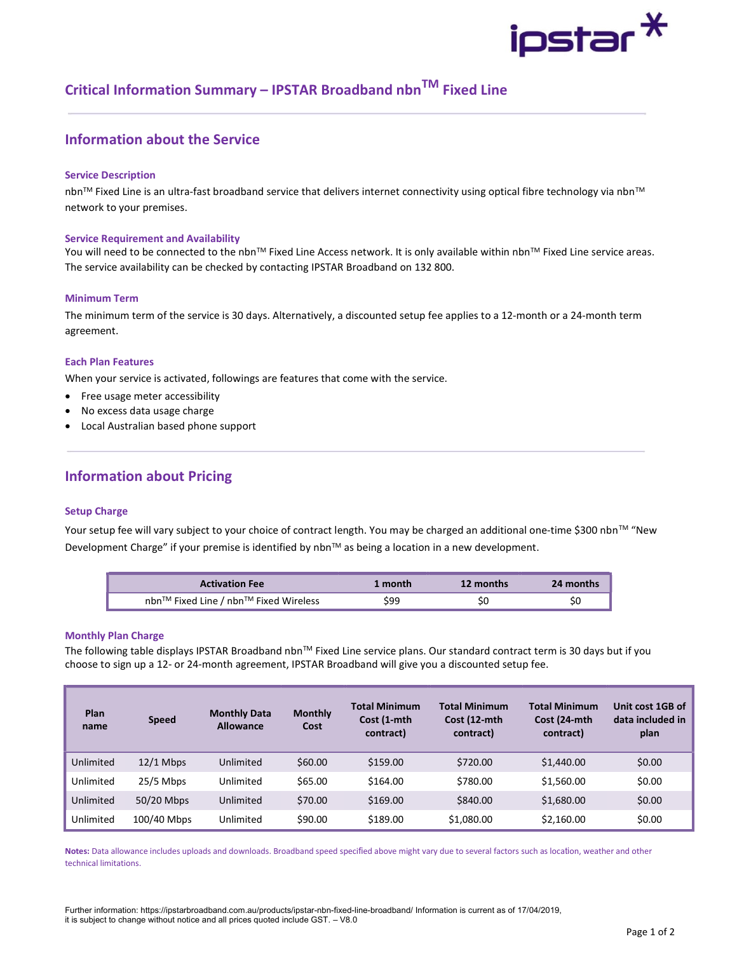# ipstar $^{\textstyle{*}}$

## Critical Information Summary – IPSTAR Broadband nbn<sup>TM</sup> Fixed Line

## Information about the Service

#### Service Description

nbn™ Fixed Line is an ultra-fast broadband service that delivers internet connectivity using optical fibre technology via nbn™ network to your premises.

#### Service Requirement and Availability

You will need to be connected to the nbn™ Fixed Line Access network. It is only available within nbn™ Fixed Line service areas. The service availability can be checked by contacting IPSTAR Broadband on 132 800.

#### Minimum Term

The minimum term of the service is 30 days. Alternatively, a discounted setup fee applies to a 12-month or a 24-month term agreement.

#### Each Plan Features

When your service is activated, followings are features that come with the service.

- Free usage meter accessibility
- No excess data usage charge
- Local Australian based phone support

### Information about Pricing

#### Setup Charge

Your setup fee will vary subject to your choice of contract length. You may be charged an additional one-time \$300 nbn™ "New Development Charge" if your premise is identified by nbn™ as being a location in a new development.

| <b>Activation Fee</b>                 | 1 month | 12 months | 24 months |
|---------------------------------------|---------|-----------|-----------|
| nbn™ Fixed Line / nbn™ Fixed Wireless | \$99    | SC        |           |

#### Monthly Plan Charge

The following table displays IPSTAR Broadband nbnTM Fixed Line service plans. Our standard contract term is 30 days but if you choose to sign up a 12- or 24-month agreement, IPSTAR Broadband will give you a discounted setup fee.

| Plan<br>name | <b>Speed</b> | <b>Monthly Data</b><br><b>Allowance</b> | <b>Monthly</b><br>Cost | <b>Total Minimum</b><br>Cost (1-mth<br>contract) | <b>Total Minimum</b><br>Cost (12-mth<br>contract) | <b>Total Minimum</b><br>Cost (24-mth<br>contract) | Unit cost 1GB of<br>data included in<br>plan |
|--------------|--------------|-----------------------------------------|------------------------|--------------------------------------------------|---------------------------------------------------|---------------------------------------------------|----------------------------------------------|
| Unlimited    | $12/1$ Mbps  | Unlimited                               | \$60.00                | \$159.00                                         | \$720.00                                          | \$1,440.00                                        | \$0.00                                       |
| Unlimited    | $25/5$ Mbps  | Unlimited                               | \$65.00                | \$164.00                                         | \$780.00                                          | \$1,560.00                                        | \$0.00                                       |
| Unlimited    | 50/20 Mbps   | Unlimited                               | \$70.00                | \$169.00                                         | \$840.00                                          | \$1,680.00                                        | \$0.00                                       |
| Unlimited    | 100/40 Mbps  | Unlimited                               | \$90.00                | \$189.00                                         | \$1,080.00                                        | \$2,160.00                                        | \$0.00                                       |

Notes: Data allowance includes uploads and downloads. Broadband speed specified above might vary due to several factors such as location, weather and other technical limitations.

Further information: https://ipstarbroadband.com.au/products/ipstar-nbn-fixed-line-broadband/ Information is current as of 17/04/2019, it is subject to change without notice and all prices quoted include GST. – V8.0